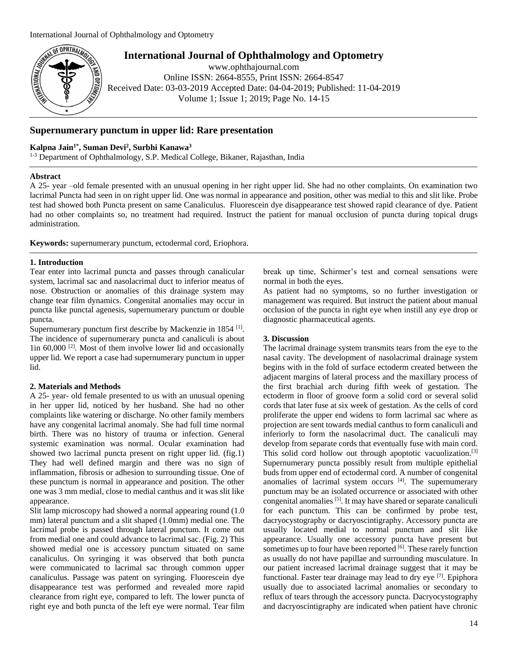

**International Journal of Ophthalmology and Optometry**

www.ophthajournal.com Online ISSN: 2664-8555, Print ISSN: 2664-8547 Received Date: 03-03-2019 Accepted Date: 04-04-2019; Published: 11-04-2019 Volume 1; Issue 1; 2019; Page No. 14-15

# **Supernumerary punctum in upper lid: Rare presentation**

### **Kalpna Jain1\* , Suman Devi<sup>2</sup> , Surbhi Kanawa<sup>3</sup>**

<sup>1-3</sup> Department of Ophthalmology, S.P. Medical College, Bikaner, Rajasthan, India

### **Abstract**

A 25- year –old female presented with an unusual opening in her right upper lid. She had no other complaints. On examination two lacrimal Puncta had seen in on right upper lid. One was normal in appearance and position, other was medial to this and slit like. Probe test had showed both Puncta present on same Canaliculus. Fluorescein dye disappearance test showed rapid clearance of dye. Patient had no other complaints so, no treatment had required. Instruct the patient for manual occlusion of puncta during topical drugs administration.

**Keywords:** supernumerary punctum, ectodermal cord, Eriophora.

### **1. Introduction**

Tear enter into lacrimal puncta and passes through canalicular system, lacrimal sac and nasolacrimal duct to inferior meatus of nose. Obstruction or anomalies of this drainage system may change tear film dynamics. Congenital anomalies may occur in puncta like punctal agenesis, supernumerary punctum or double puncta.

Supernumerary punctum first describe by Mackenzie in 1854 [1]. The incidence of supernumerary puncta and canaliculi is about lin 60,000<sup>[2]</sup>. Most of them involve lower lid and occasionally upper lid. We report a case had supernumerary punctum in upper lid.

### **2. Materials and Methods**

A 25- year- old female presented to us with an unusual opening in her upper lid, noticed by her husband. She had no other complaints like watering or discharge. No other family members have any congenital lacrimal anomaly. She had full time normal birth. There was no history of trauma or infection. General systemic examination was normal. Ocular examination had showed two lacrimal puncta present on right upper lid. (fig.1) They had well defined margin and there was no sign of inflammation, fibrosis or adhesion to surrounding tissue. One of these punctum is normal in appearance and position. The other one was 3 mm medial, close to medial canthus and it was slit like appearance.

Slit lamp microscopy had showed a normal appearing round (1.0 mm) lateral punctum and a slit shaped (1.0mm) medial one. The lacrimal probe is passed through lateral punctum. It come out from medial one and could advance to lacrimal sac. (Fig. 2) This showed medial one is accessory punctum situated on same canaliculus. On syringing it was observed that both puncta were communicated to lacrimal sac through common upper canaliculus. Passage was patent on syringing. Fluorescein dye disappearance test was performed and revealed more rapid clearance from right eye, compared to left. The lower puncta of right eye and both puncta of the left eye were normal. Tear film

break up time, Schirmer's test and corneal sensations were normal in both the eyes.

As patient had no symptoms, so no further investigation or management was required. But instruct the patient about manual occlusion of the puncta in right eye when instill any eye drop or diagnostic pharmaceutical agents.

### **3. Discussion**

The lacrimal drainage system transmits tears from the eye to the nasal cavity. The development of nasolacrimal drainage system begins with in the fold of surface ectoderm created between the adjacent margins of lateral process and the maxillary process of the first brachial arch during fifth week of gestation. The ectoderm in floor of groove form a solid cord or several solid cords that later fuse at six week of gestation. As the cells of cord proliferate the upper end widens to form lacrimal sac where as projection are sent towards medial canthus to form canaliculi and inferiorly to form the nasolacrimal duct. The canaliculi may develop from separate cords that eventually fuse with main cord. This solid cord hollow out through apoptotic vacuolization.<sup>[3]</sup> Supernumerary puncta possibly result from multiple epithelial buds from upper end of ectodermal cord. A number of congenital anomalies of lacrimal system occurs  $[4]$ . The supernumerary punctum may be an isolated occurrence or associated with other congenital anomalies <sup>[5]</sup>. It may have shared or separate canaliculi for each punctum. This can be confirmed by probe test, dacryocystography or dacryoscintigraphy. Accessory puncta are usually located medial to normal punctum and slit like appearance. Usually one accessory puncta have present but sometimes up to four have been reported [6]. These rarely function as usually do not have papillae and surrounding musculature. In our patient increased lacrimal drainage suggest that it may be functional. Faster tear drainage may lead to dry eye<sup>[7]</sup>. Epiphora usually due to associated lacrimal anomalies or secondary to reflux of tears through the accessory puncta. Dacryocystography and dacryoscintigraphy are indicated when patient have chronic